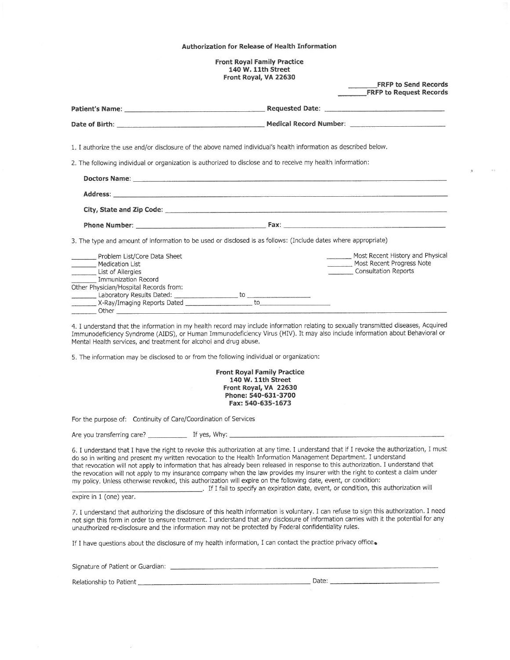#### Authorization for Release of Health Information

**Front Royal Family Practice** 140 W. 11th Street Front Royal, VA 22630

**FRFP to Send Records** 

|                                                                                          | <b>ERFP to Request Records</b>                                                                                                                                                                                                                                       |
|------------------------------------------------------------------------------------------|----------------------------------------------------------------------------------------------------------------------------------------------------------------------------------------------------------------------------------------------------------------------|
|                                                                                          |                                                                                                                                                                                                                                                                      |
|                                                                                          |                                                                                                                                                                                                                                                                      |
|                                                                                          | 1. I authorize the use and/or disclosure of the above named individual's health information as described below.                                                                                                                                                      |
|                                                                                          | 2. The following individual or organization is authorized to disclose and to receive my health information:                                                                                                                                                          |
|                                                                                          |                                                                                                                                                                                                                                                                      |
|                                                                                          |                                                                                                                                                                                                                                                                      |
|                                                                                          | City, State and Zip Code: National Commercial City, State and Zip Code:                                                                                                                                                                                              |
|                                                                                          |                                                                                                                                                                                                                                                                      |
|                                                                                          | 3. The type and amount of information to be used or disclosed is as follows: (Include dates where appropriate)                                                                                                                                                       |
| Problem List/Core Data Sheet                                                             | Most Recent History and Physical                                                                                                                                                                                                                                     |
| Medication List                                                                          | Most Recent Progress Note<br>Consultation Reports                                                                                                                                                                                                                    |
| List of Allergies<br><b>Immunization Record</b>                                          |                                                                                                                                                                                                                                                                      |
| Other Physician/Hospital Records from:                                                   |                                                                                                                                                                                                                                                                      |
|                                                                                          |                                                                                                                                                                                                                                                                      |
|                                                                                          |                                                                                                                                                                                                                                                                      |
| Mental Health services, and treatment for alcohol and drug abuse.                        | 4. I understand that the information in my health record may include information relating to sexually transmitted diseases, Acquired<br>Immunodeficiency Syndrome (AIDS), or Human Immunodeficiency Virus (HIV). It may also include information about Behavioral or |
| 5. The information may be disclosed to or from the following individual or organization: |                                                                                                                                                                                                                                                                      |
|                                                                                          | <b>Front Royal Family Practice</b><br>140 W. 11th Street<br>Front Royal, VA 22630<br>Phone: 540-631-3700<br>Fax: 540-635-1673                                                                                                                                        |
| For the purpose of: Continuity of Care/Coordination of Services                          |                                                                                                                                                                                                                                                                      |
|                                                                                          |                                                                                                                                                                                                                                                                      |

6. I understand that I have the right to revoke this authorization at any time. I understand that if I revoke the authorization, I must do so in writing and present my written revocation to the Health Information Management Department. I understand that revocation will not apply to information that has already been released in response to this authorization. I understand that the revocation will not apply to my insurance company when the law provides my insurer with the right to contest a claim under my policy. Unless otherwise revoked, this authorization will expire on the following date, event, or condition: . If I fail to specify an expiration date, event, or condition, this authorization will

expire in 1 (one) year.

7. I understand that authorizing the disclosure of this health information is voluntary. I can refuse to sign this authorization. I need not sign this form in order to ensure treatment. I understand that any disclosure of information carries with it the potential for any unauthorized re-disclosure and the information may not be protected by Federal confidentiality rules.

If I have questions about the disclosure of my health information, I can contact the practice privacy office.

Relationship to Patient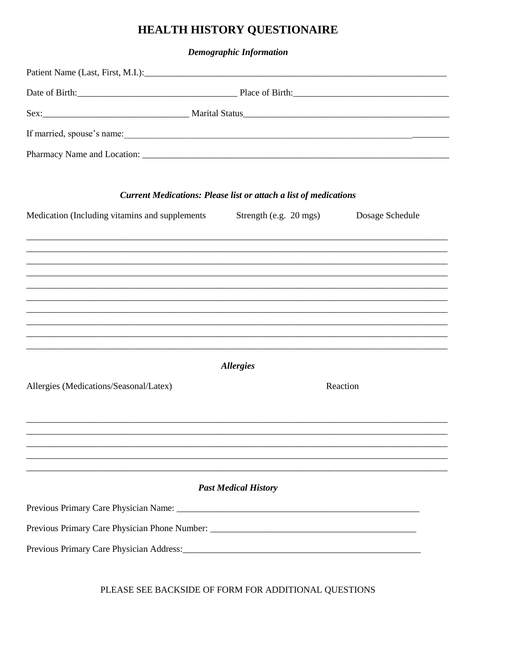# HEALTH HISTORY QUESTIONAIRE

**Demographic Information** 

|                                                | <b>Current Medications: Please list or attach a list of medications</b>                |                 |
|------------------------------------------------|----------------------------------------------------------------------------------------|-----------------|
| Medication (Including vitamins and supplements | Strength (e.g. $20 \text{ mgs}$ )                                                      | Dosage Schedule |
|                                                |                                                                                        |                 |
|                                                |                                                                                        |                 |
|                                                |                                                                                        |                 |
|                                                |                                                                                        |                 |
|                                                | <u>,这就是一个人的人,我们就是一个人的人,我们就是一个人的人,我们就是一个人的人,我们就是一个人的人,我们就是一个人的人,我们就是一个人的人,我们就是一个人的人</u> |                 |
|                                                | <i><b>Allergies</b></i>                                                                |                 |
| Allergies (Medications/Seasonal/Latex)         |                                                                                        | Reaction        |
|                                                |                                                                                        |                 |
|                                                | <u>,这个人都是不是一个人的人,我们就是一个人的人,我们就是一个人的人,我们就是一个人的人,我们就是一个人的人,我们就是一个人的人,我们就是一个人的人,我们就是</u>  |                 |
|                                                |                                                                                        |                 |
|                                                |                                                                                        |                 |
|                                                | <b>Past Medical History</b>                                                            |                 |
|                                                |                                                                                        |                 |
|                                                |                                                                                        |                 |
|                                                |                                                                                        |                 |
|                                                |                                                                                        |                 |

PLEASE SEE BACKSIDE OF FORM FOR ADDITIONAL QUESTIONS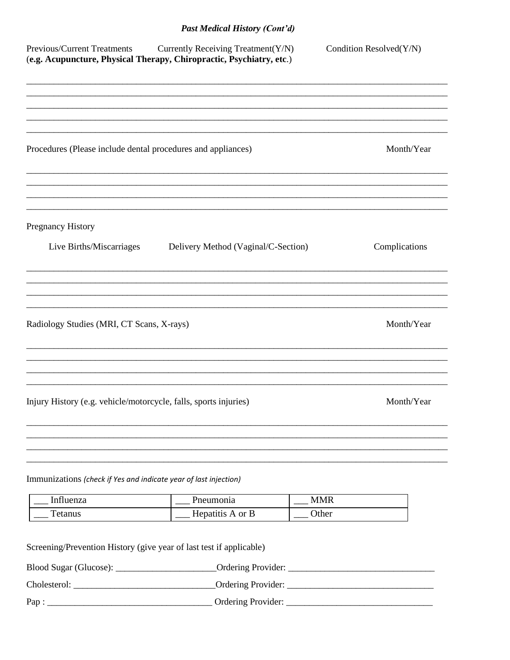# **Past Medical History (Cont'd)**

| <b>Previous/Current Treatments</b><br>(e.g. Acupuncture, Physical Therapy, Chiropractic, Psychiatry, etc.) | Currently Receiving Treatment(Y/N)  | Condition Resolved(Y/N) |
|------------------------------------------------------------------------------------------------------------|-------------------------------------|-------------------------|
| Procedures (Please include dental procedures and appliances)                                               |                                     | Month/Year              |
|                                                                                                            |                                     |                         |
| <b>Pregnancy History</b>                                                                                   |                                     |                         |
| Live Births/Miscarriages                                                                                   | Delivery Method (Vaginal/C-Section) | Complications           |
|                                                                                                            |                                     |                         |
| Radiology Studies (MRI, CT Scans, X-rays)                                                                  |                                     | Month/Year              |
| Injury History (e.g. vehicle/motorcycle, falls, sports injuries)                                           |                                     | Month/Year              |
|                                                                                                            |                                     |                         |
| Immunizations (check if Yes and indicate year of last injection)                                           |                                     |                         |
| Influenza                                                                                                  | Pneumonia                           | <b>MMR</b>              |
| <b>Tetanus</b>                                                                                             | Hepatitis A or B                    | Other                   |
| Screening/Prevention History (give year of last test if applicable)                                        |                                     |                         |
|                                                                                                            |                                     |                         |
|                                                                                                            |                                     |                         |
|                                                                                                            |                                     |                         |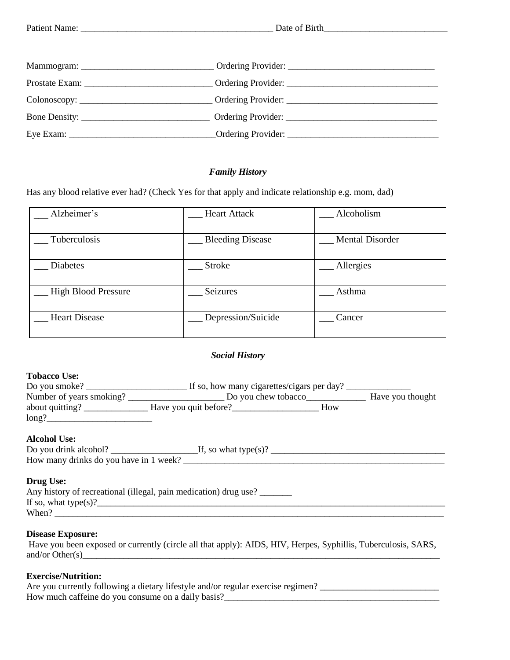## *Family History*

Has any blood relative ever had? (Check Yes for that apply and indicate relationship e.g. mom, dad)

| Alzheimer's                | <b>Heart Attack</b>     | Alcoholism             |
|----------------------------|-------------------------|------------------------|
| Tuberculosis               | <b>Bleeding Disease</b> | <b>Mental Disorder</b> |
| <b>Diabetes</b>            | Stroke                  | Allergies              |
| <b>High Blood Pressure</b> | Seizures                | Asthma                 |
| <b>Heart Disease</b>       | Depression/Suicide      | Cancer                 |

# *Social History*

#### **Tobacco Use:**

| Do you smoke?            | If so, how many cigarettes/cigars per day? |     |                  |
|--------------------------|--------------------------------------------|-----|------------------|
| Number of years smoking? | Do you chew tobacco                        |     | Have you thought |
| about quitting?          | Have you quit before?                      | How |                  |
| long?                    |                                            |     |                  |
|                          |                                            |     |                  |

### **Alcohol Use:**

| Do you drink alcohol?                  | If, so what type(s)? |
|----------------------------------------|----------------------|
| How many drinks do you have in 1 week? |                      |
|                                        |                      |

### **Drug Use:**

| Any history of recreational (illegal, pain medication) drug use? |  |
|------------------------------------------------------------------|--|
| If so, what type(s)?                                             |  |
| When?                                                            |  |

### **Disease Exposure:**

Have you been exposed or currently (circle all that apply): AIDS, HIV, Herpes, Syphillis, Tuberculosis, SARS, and/or Other(s)\_\_\_\_\_\_\_\_\_\_\_\_\_\_\_\_\_\_\_\_\_\_\_\_\_\_\_\_\_\_\_\_\_\_\_\_\_\_\_\_\_\_\_\_\_\_\_\_\_\_\_\_\_\_\_\_\_\_\_\_\_\_\_\_\_\_\_\_\_\_\_\_\_\_\_\_\_\_

#### **Exercise/Nutrition:**

| Are you currently following a dietary lifestyle and/or regular exercise regimen? |  |
|----------------------------------------------------------------------------------|--|
| How much caffeine do you consume on a daily basis?                               |  |